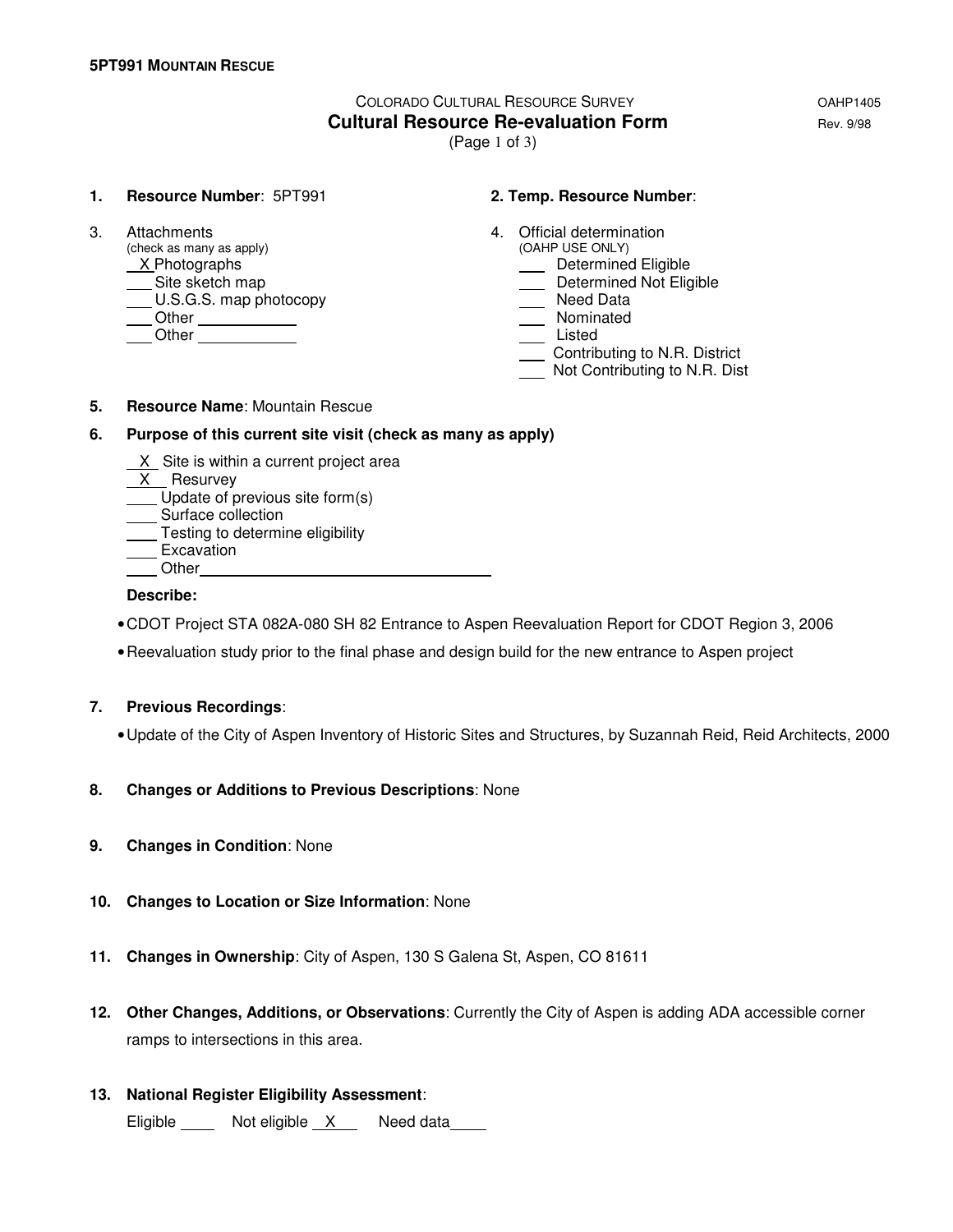# COLORADO CULTURAL RESOURCE SURVEY OAHP1405 **Cultural Resource Re-evaluation Form Equation Rev. 9/98**

(Page 1 of 3)

#### **1. Resource Number**: 5PT991 **2. Temp. Resource Number**:

(check as many as apply)  $X$ Photographs Site sketch map<br>
U.S.G.S. map photocopy **Determined Not Eligible**<br>
Determined Not Eligible<br>
Need Data U.S.G.S. map photocopy Other Nominated Other Listed

- 3. Attachments 4. Official determination<br>
(check as many as apply) (OAHP USE ONLY)
	- **Manuel Eligible**
	-
	-
	-
	-
	- Contributing to N.R. District
	- Not Contributing to N.R. Dist

#### **5. Resource Name**: Mountain Rescue

#### **6. Purpose of this current site visit (check as many as apply)**

- X Site is within a current project area
- X Resurvey
- Update of previous site form(s)
- Surface collection
- **Testing to determine eligibility** <u>Lesmis</u><br>Excavation
- 
- **Other**

#### **Describe:**

- CDOT Project STA 082A-080 SH 82 Entrance to Aspen Reevaluation Report for CDOT Region 3, 2006
- Reevaluation study prior to the final phase and design build for the new entrance to Aspen project

### **7. Previous Recordings**:

- Update of the City of Aspen Inventory of Historic Sites and Structures, by Suzannah Reid, Reid Architects, 2000
- **8. Changes or Additions to Previous Descriptions**: None
- **9. Changes in Condition**: None
- **10. Changes to Location or Size Information**: None
- **11. Changes in Ownership**: City of Aspen, 130 S Galena St, Aspen, CO 81611
- **12. Other Changes, Additions, or Observations**: Currently the City of Aspen is adding ADA accessible corner ramps to intersections in this area.
- **13. National Register Eligibility Assessment**:

Eligible Not eligible X Need data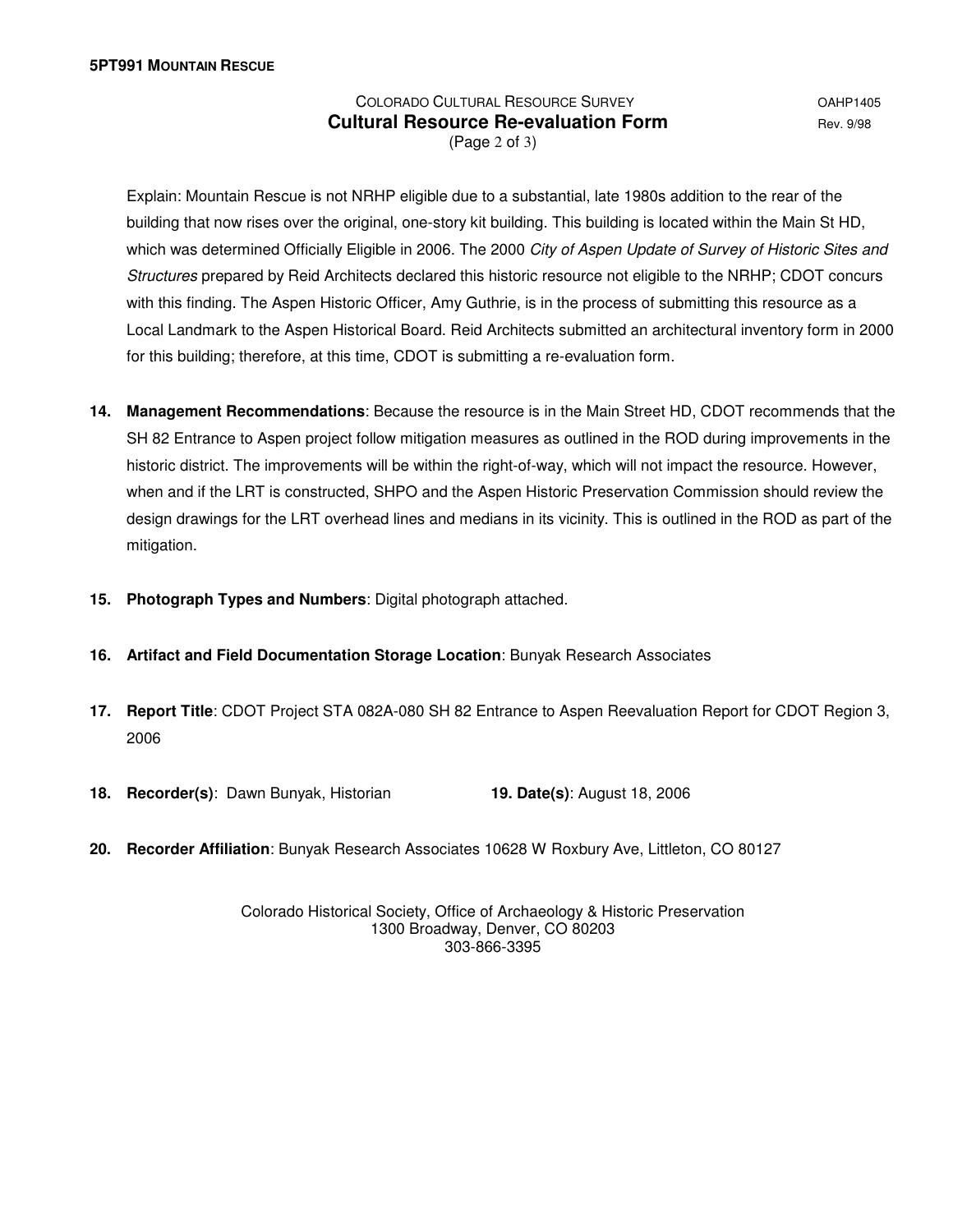## COLORADO CULTURAL RESOURCE SURVEY **COLORADO COLORADO Cultural Resource Re-evaluation Form Equilibrity Rev. 9/98** (Page 2 of 3)

 Explain: Mountain Rescue is not NRHP eligible due to a substantial, late 1980s addition to the rear of the building that now rises over the original, one-story kit building. This building is located within the Main St HD, which was determined Officially Eligible in 2006. The 2000 City of Aspen Update of Survey of Historic Sites and Structures prepared by Reid Architects declared this historic resource not eligible to the NRHP; CDOT concurs with this finding. The Aspen Historic Officer, Amy Guthrie, is in the process of submitting this resource as a Local Landmark to the Aspen Historical Board. Reid Architects submitted an architectural inventory form in 2000 for this building; therefore, at this time, CDOT is submitting a re-evaluation form.

- **14. Management Recommendations**: Because the resource is in the Main Street HD, CDOT recommends that the SH 82 Entrance to Aspen project follow mitigation measures as outlined in the ROD during improvements in the historic district. The improvements will be within the right-of-way, which will not impact the resource. However, when and if the LRT is constructed, SHPO and the Aspen Historic Preservation Commission should review the design drawings for the LRT overhead lines and medians in its vicinity. This is outlined in the ROD as part of the mitigation.
- **15. Photograph Types and Numbers**: Digital photograph attached.
- **16. Artifact and Field Documentation Storage Location**: Bunyak Research Associates
- **17. Report Title**: CDOT Project STA 082A-080 SH 82 Entrance to Aspen Reevaluation Report for CDOT Region 3, 2006
- **18. Recorder(s)**: Dawn Bunyak, Historian **19. Date(s)**: August 18, 2006

**20. Recorder Affiliation**: Bunyak Research Associates 10628 W Roxbury Ave, Littleton, CO 80127

Colorado Historical Society, Office of Archaeology & Historic Preservation 1300 Broadway, Denver, CO 80203 303-866-3395